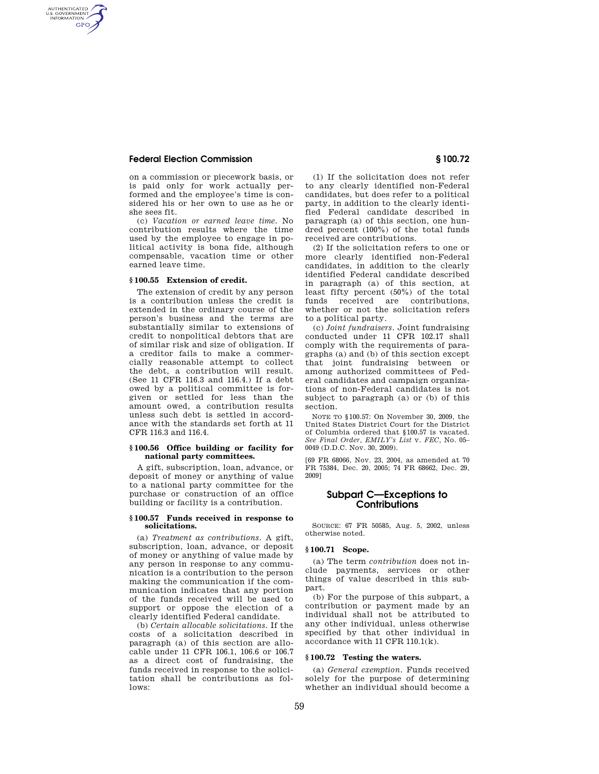# **Federal Election Commission § 100.72**

AUTHENTICATED<br>U.S. GOVERNMENT<br>INFORMATION **GPO** 

> on a commission or piecework basis, or is paid only for work actually performed and the employee's time is considered his or her own to use as he or she sees fit.

> (c) *Vacation or earned leave time.* No contribution results where the time used by the employee to engage in political activity is bona fide, although compensable, vacation time or other earned leave time.

### **§ 100.55 Extension of credit.**

The extension of credit by any person is a contribution unless the credit is extended in the ordinary course of the person's business and the terms are substantially similar to extensions of credit to nonpolitical debtors that are of similar risk and size of obligation. If a creditor fails to make a commercially reasonable attempt to collect the debt, a contribution will result. (See 11 CFR 116.3 and 116.4.) If a debt owed by a political committee is forgiven or settled for less than the amount owed, a contribution results unless such debt is settled in accordance with the standards set forth at 11 CFR 116.3 and 116.4.

### **§ 100.56 Office building or facility for national party committees.**

A gift, subscription, loan, advance, or deposit of money or anything of value to a national party committee for the purchase or construction of an office building or facility is a contribution.

## **§ 100.57 Funds received in response to solicitations.**

(a) *Treatment as contributions.* A gift, subscription, loan, advance, or deposit of money or anything of value made by any person in response to any communication is a contribution to the person making the communication if the communication indicates that any portion of the funds received will be used to support or oppose the election of a clearly identified Federal candidate.

(b) *Certain allocable solicitations.* If the costs of a solicitation described in paragraph (a) of this section are allocable under 11 CFR 106.1, 106.6 or 106.7 as a direct cost of fundraising, the funds received in response to the solicitation shall be contributions as follows:

(1) If the solicitation does not refer to any clearly identified non-Federal candidates, but does refer to a political party, in addition to the clearly identified Federal candidate described in paragraph (a) of this section, one hundred percent (100%) of the total funds received are contributions.

(2) If the solicitation refers to one or more clearly identified non-Federal candidates, in addition to the clearly identified Federal candidate described in paragraph (a) of this section, at least fifty percent (50%) of the total funds received are contributions, whether or not the solicitation refers to a political party.

(c) *Joint fundraisers.* Joint fundraising conducted under 11 CFR 102.17 shall comply with the requirements of paragraphs (a) and (b) of this section except that joint fundraising between or among authorized committees of Federal candidates and campaign organizations of non-Federal candidates is not subject to paragraph (a) or (b) of this section.

NOTE TO §100.57: On November 30, 2009, the United States District Court for the District of Columbia ordered that §100.57 is vacated. *See Final Order, EMILY's List* v. *FEC,* No. 05– 0049 (D.D.C. Nov. 30, 2009).

[69 FR 68066, Nov. 23, 2004, as amended at 70 FR 75384, Dec. 20, 2005; 74 FR 68662, Dec. 29, 2009]

# **Subpart C—Exceptions to Contributions**

SOURCE: 67 FR 50585, Aug. 5, 2002, unless otherwise noted.

# **§ 100.71 Scope.**

(a) The term *contribution* does not include payments, services or other things of value described in this subpart.

(b) For the purpose of this subpart, a contribution or payment made by an individual shall not be attributed to any other individual, unless otherwise specified by that other individual in accordance with 11 CFR 110.1(k).

#### **§ 100.72 Testing the waters.**

(a) *General exemption.* Funds received solely for the purpose of determining whether an individual should become a